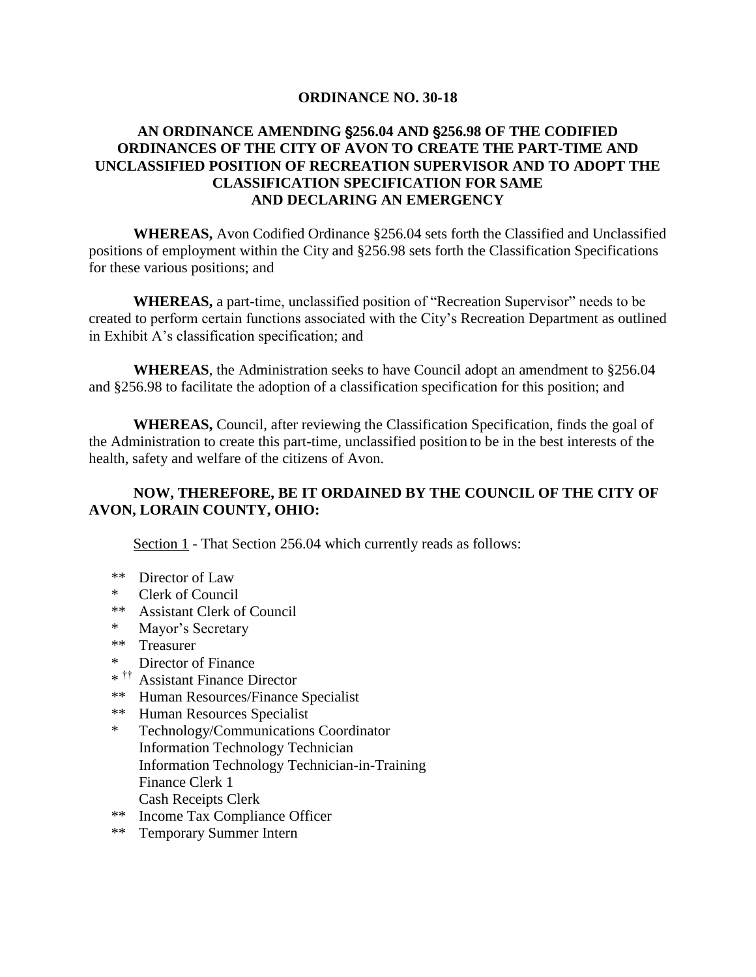## **ORDINANCE NO. 30-18**

# **AN ORDINANCE AMENDING** '**256.04 AND** '**256.98 OF THE CODIFIED ORDINANCES OF THE CITY OF AVON TO CREATE THE PART-TIME AND UNCLASSIFIED POSITION OF RECREATION SUPERVISOR AND TO ADOPT THE CLASSIFICATION SPECIFICATION FOR SAME AND DECLARING AN EMERGENCY**

**WHEREAS,** Avon Codified Ordinance §256.04 sets forth the Classified and Unclassified positions of employment within the City and §256.98 sets forth the Classification Specifications for these various positions; and

**WHEREAS,** a part-time, unclassified position of "Recreation Supervisor" needs to be created to perform certain functions associated with the City's Recreation Department as outlined in Exhibit A's classification specification; and

**WHEREAS**, the Administration seeks to have Council adopt an amendment to §256.04 and §256.98 to facilitate the adoption of a classification specification for this position; and

**WHEREAS,** Council, after reviewing the Classification Specification, finds the goal of the Administration to create this part-time, unclassified position to be in the best interests of the health, safety and welfare of the citizens of Avon.

# **NOW, THEREFORE, BE IT ORDAINED BY THE COUNCIL OF THE CITY OF AVON, LORAIN COUNTY, OHIO:**

Section 1 - That Section 256.04 which currently reads as follows:

- \*\* Director of Law
- \* Clerk of Council
- \*\* Assistant Clerk of Council
- \* Mayor's Secretary
- \*\* Treasurer
- \* Director of Finance
- \* †† Assistant Finance Director
- \*\* Human Resources/Finance Specialist
- \*\* Human Resources Specialist
- \* Technology/Communications Coordinator Information Technology Technician Information Technology Technician-in-Training Finance Clerk 1 Cash Receipts Clerk
- \*\* Income Tax Compliance Officer
- \*\* Temporary Summer Intern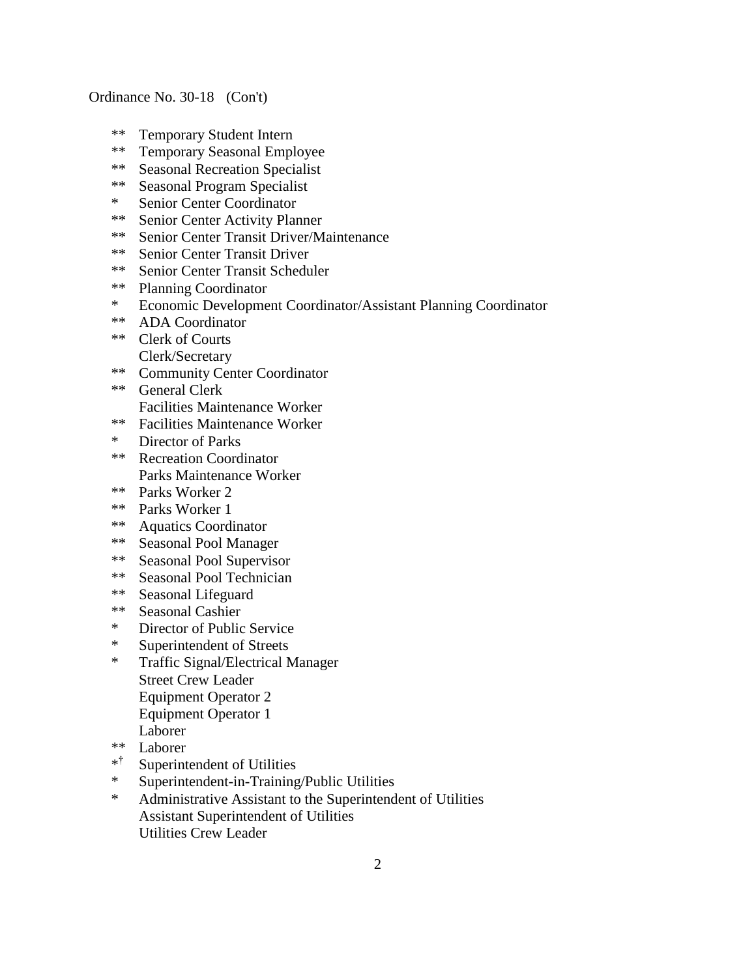- \*\* Temporary Student Intern
- \*\* Temporary Seasonal Employee
- \*\* Seasonal Recreation Specialist<br>\*\* Seasonal Program Specialist
- Seasonal Program Specialist
- \* Senior Center Coordinator
- \*\* Senior Center Activity Planner<br>\*\* Senior Center Transit Driver/M
- Senior Center Transit Driver/Maintenance
- \*\* Senior Center Transit Driver
- \*\* Senior Center Transit Scheduler
- \*\* Planning Coordinator
- \* Economic Development Coordinator/Assistant Planning Coordinator
- \*\* ADA Coordinator
- \*\* Clerk of Courts Clerk/Secretary
- \*\* Community Center Coordinator
- \*\* General Clerk Facilities Maintenance Worker
- \*\* Facilities Maintenance Worker
- \* Director of Parks
- \*\* Recreation Coordinator Parks Maintenance Worker
- \*\* Parks Worker 2
- \*\* Parks Worker 1
- \*\* Aquatics Coordinator
- \*\* Seasonal Pool Manager
- \*\* Seasonal Pool Supervisor
- \*\* Seasonal Pool Technician
- \*\* Seasonal Lifeguard
- \*\* Seasonal Cashier
- \* Director of Public Service
- \* Superintendent of Streets
- \* Traffic Signal/Electrical Manager Street Crew Leader Equipment Operator 2 Equipment Operator 1 Laborer
- \*\* Laborer
- \* † Superintendent of Utilities
- \* Superintendent-in-Training/Public Utilities
- \* Administrative Assistant to the Superintendent of Utilities Assistant Superintendent of Utilities Utilities Crew Leader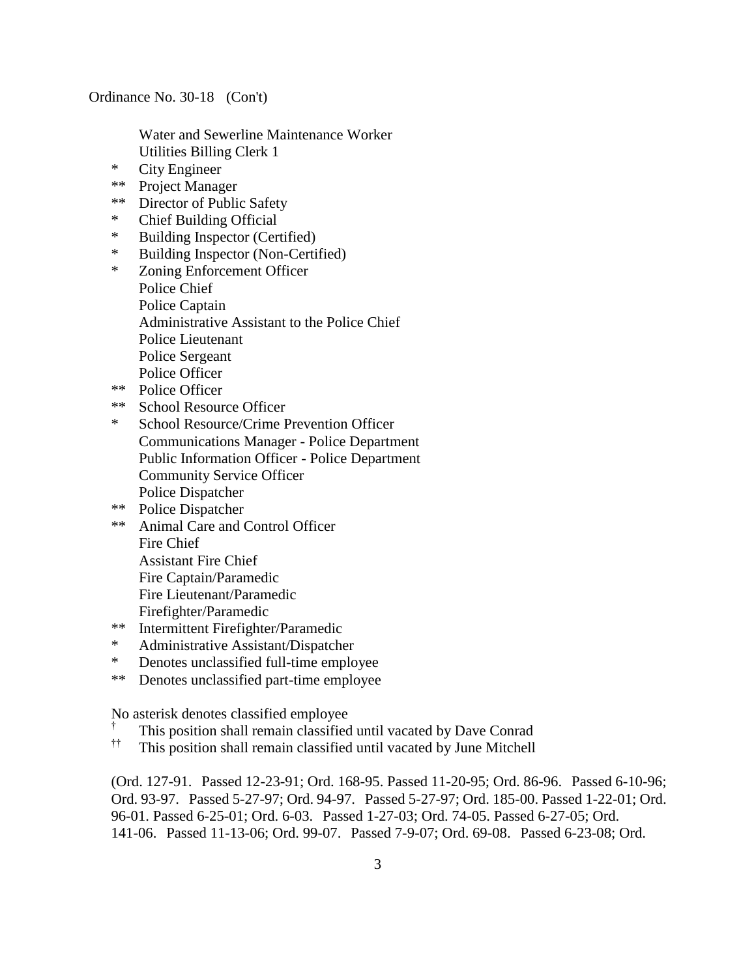Water and Sewerline Maintenance Worker Utilities Billing Clerk 1

- \* City Engineer
- \*\* Project Manager
- \*\* Director of Public Safety
- \* Chief Building Official
- \* Building Inspector (Certified)
- \* Building Inspector (Non-Certified)<br>\* Zoning Enforcement Officer
- Zoning Enforcement Officer Police Chief Police Captain Administrative Assistant to the Police Chief Police Lieutenant Police Sergeant Police Officer
- \*\* Police Officer
- \*\* School Resource Officer
- \* School Resource/Crime Prevention Officer Communications Manager - Police Department Public Information Officer - Police Department Community Service Officer Police Dispatcher
- \*\* Police Dispatcher
- \*\* Animal Care and Control Officer Fire Chief Assistant Fire Chief Fire Captain/Paramedic Fire Lieutenant/Paramedic Firefighter/Paramedic
- \*\* Intermittent Firefighter/Paramedic
- \* Administrative Assistant/Dispatcher
- \* Denotes unclassified full-time employee
- \*\* Denotes unclassified part-time employee

No asterisk denotes classified employee

- † This position shall remain classified until vacated by Dave Conrad
- †† This position shall remain classified until vacated by June Mitchell

(Ord. 127-91. Passed 12-23-91; Ord. 168-95. Passed 11-20-95; Ord. 86-96. Passed 6-10-96; Ord. 93-97. Passed 5-27-97; Ord. 94-97. Passed 5-27-97; Ord. 185-00. Passed 1-22-01; Ord. 96-01. Passed 6-25-01; Ord. 6-03. Passed 1-27-03; Ord. 74-05. Passed 6-27-05; Ord. 141-06. Passed 11-13-06; Ord. 99-07. Passed 7-9-07; Ord. 69-08. Passed 6-23-08; Ord.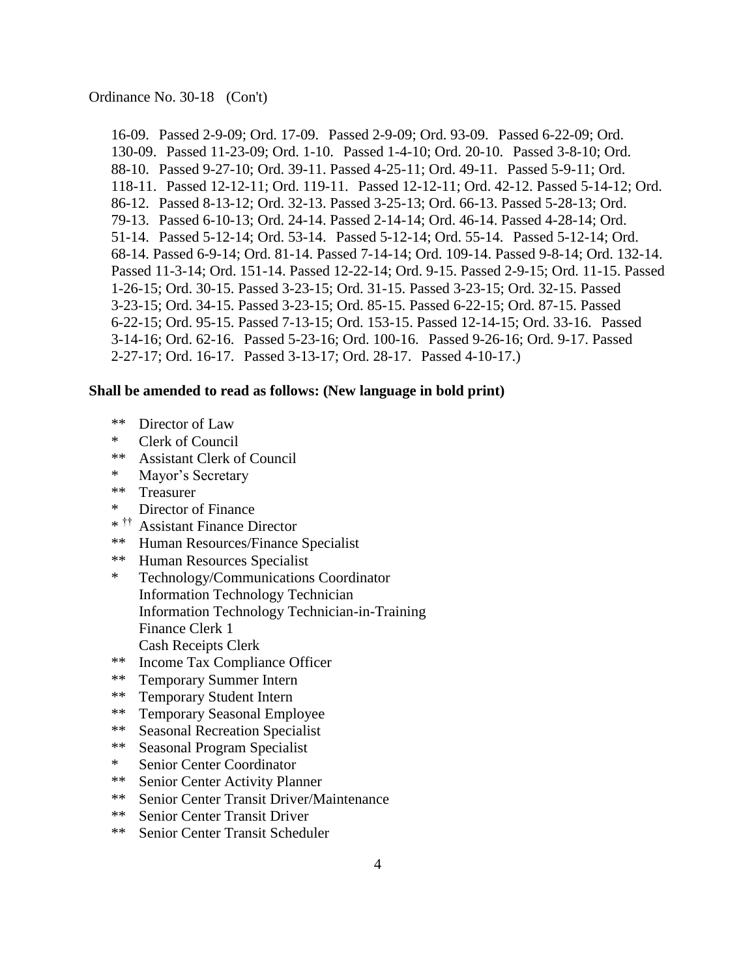16-09. Passed 2-9-09; Ord. 17-09. Passed 2-9-09; Ord. 93-09. Passed 6-22-09; Ord. 130-09. Passed 11-23-09; Ord. 1-10. Passed 1-4-10; Ord. 20-10. Passed 3-8-10; Ord. 88-10. Passed 9-27-10; Ord. 39-11. Passed 4-25-11; Ord. 49-11. Passed 5-9-11; Ord. 118-11. Passed 12-12-11; Ord. 119-11. Passed 12-12-11; Ord. 42-12. Passed 5-14-12; Ord. 86-12. Passed 8-13-12; Ord. 32-13. Passed 3-25-13; Ord. 66-13. Passed 5-28-13; Ord. 79-13. Passed 6-10-13; Ord. 24-14. Passed 2-14-14; Ord. 46-14. Passed 4-28-14; Ord. 51-14. Passed 5-12-14; Ord. 53-14. Passed 5-12-14; Ord. 55-14. Passed 5-12-14; Ord. 68-14. Passed 6-9-14; Ord. 81-14. Passed 7-14-14; Ord. 109-14. Passed 9-8-14; Ord. 132-14. Passed 11-3-14; Ord. 151-14. Passed 12-22-14; Ord. 9-15. Passed 2-9-15; Ord. 11-15. Passed 1-26-15; Ord. 30-15. Passed 3-23-15; Ord. 31-15. Passed 3-23-15; Ord. 32-15. Passed 3-23-15; Ord. 34-15. Passed 3-23-15; Ord. 85-15. Passed 6-22-15; Ord. 87-15. Passed 6-22-15; Ord. 95-15. Passed 7-13-15; Ord. 153-15. Passed 12-14-15; Ord. 33-16. Passed 3-14-16; Ord. 62-16. Passed 5-23-16; Ord. 100-16. Passed 9-26-16; Ord. 9-17. Passed 2-27-17; Ord. 16-17. Passed 3-13-17; Ord. 28-17. Passed 4-10-17.)

### **Shall be amended to read as follows: (New language in bold print)**

- \*\* Director of Law
- \* Clerk of Council
- \*\* Assistant Clerk of Council
- \* Mayor's Secretary
- \*\* Treasurer
- \* Director of Finance
- \* †† Assistant Finance Director
- \*\* Human Resources/Finance Specialist
- \*\* Human Resources Specialist
- \* Technology/Communications Coordinator Information Technology Technician Information Technology Technician-in-Training Finance Clerk 1 Cash Receipts Clerk
- \*\* Income Tax Compliance Officer
- \*\* Temporary Summer Intern
- \*\* Temporary Student Intern
- \*\* Temporary Seasonal Employee
- \*\* Seasonal Recreation Specialist
- \*\* Seasonal Program Specialist
- \* Senior Center Coordinator
- \*\* Senior Center Activity Planner
- \*\* Senior Center Transit Driver/Maintenance
- \*\* Senior Center Transit Driver
- \*\* Senior Center Transit Scheduler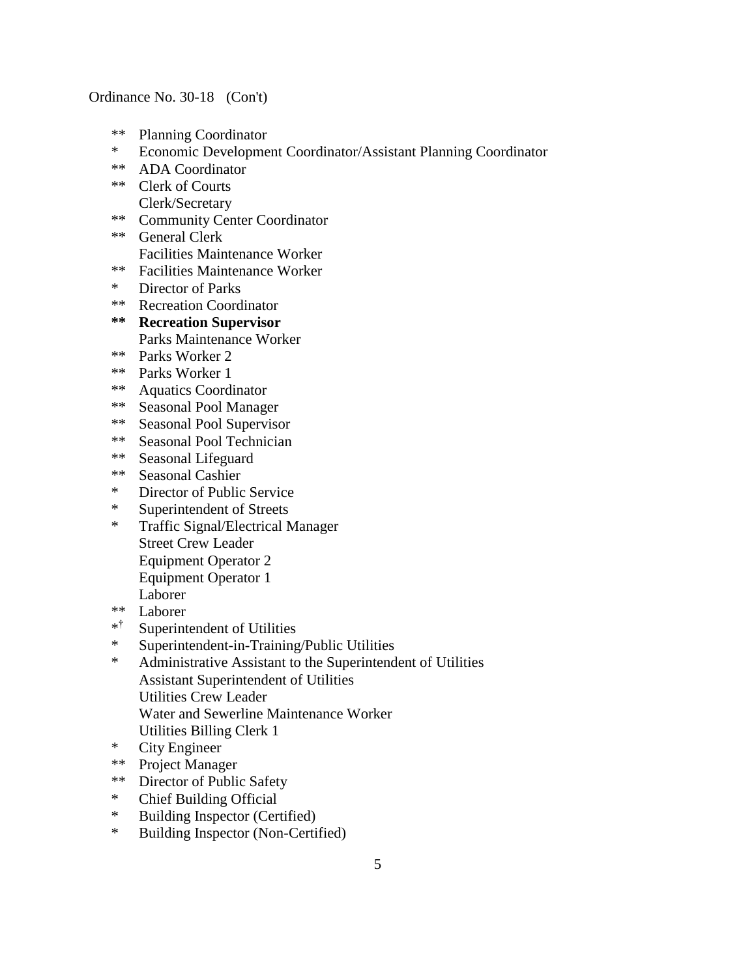- \*\* Planning Coordinator
- \* Economic Development Coordinator/Assistant Planning Coordinator
- \*\* ADA Coordinator
- \*\* Clerk of Courts
- Clerk/Secretary \*\* Community Center Coordinator
- \*\* General Clerk Facilities Maintenance Worker
- \*\* Facilities Maintenance Worker
- \* Director of Parks
- \*\* Recreation Coordinator
- **\*\* Recreation Supervisor** Parks Maintenance Worker
- \*\* Parks Worker 2
- \*\* Parks Worker 1
- \*\* Aquatics Coordinator
- \*\* Seasonal Pool Manager
- \*\* Seasonal Pool Supervisor
- \*\* Seasonal Pool Technician<br>\*\* Seasonal Lifeguard
- Seasonal Lifeguard
- \*\* Seasonal Cashier
- \* Director of Public Service
- \* Superintendent of Streets
- \* Traffic Signal/Electrical Manager Street Crew Leader Equipment Operator 2 Equipment Operator 1 Laborer
- \*\* Laborer
- \* † Superintendent of Utilities
- \* Superintendent-in-Training/Public Utilities
- \* Administrative Assistant to the Superintendent of Utilities Assistant Superintendent of Utilities Utilities Crew Leader Water and Sewerline Maintenance Worker Utilities Billing Clerk 1
- \* City Engineer
- \*\* Project Manager
- \*\* Director of Public Safety
- \* Chief Building Official
- \* Building Inspector (Certified)
- \* Building Inspector (Non-Certified)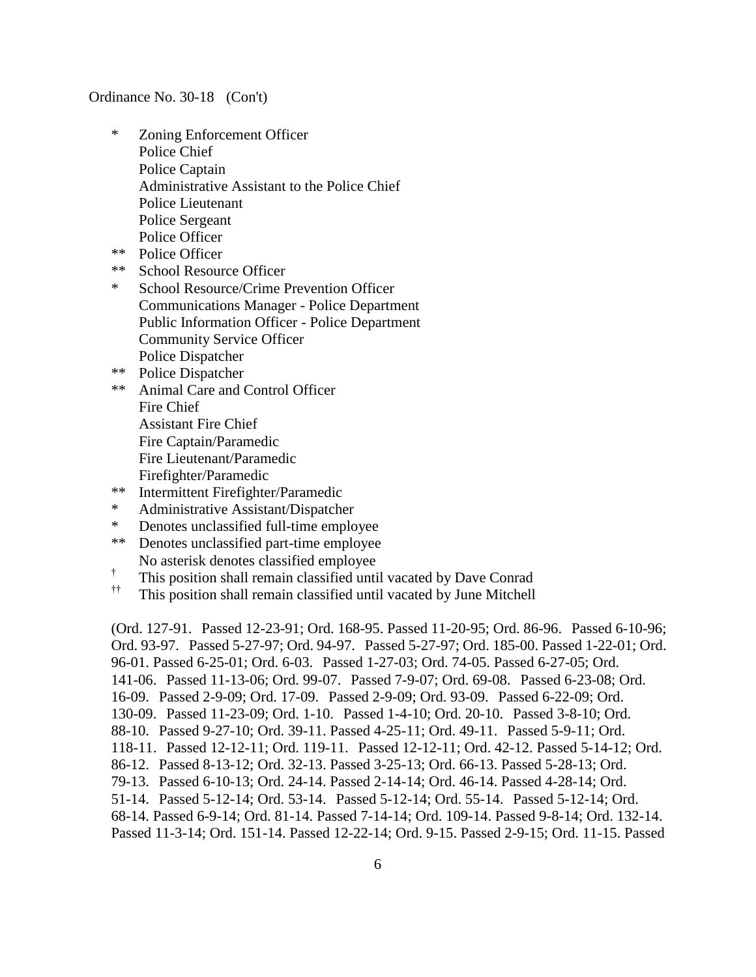- \* Zoning Enforcement Officer Police Chief Police Captain Administrative Assistant to the Police Chief Police Lieutenant Police Sergeant Police Officer
- \*\* Police Officer
- \*\* School Resource Officer
- \* School Resource/Crime Prevention Officer Communications Manager - Police Department Public Information Officer - Police Department Community Service Officer Police Dispatcher
- \*\* Police Dispatcher
- \*\* Animal Care and Control Officer Fire Chief Assistant Fire Chief Fire Captain/Paramedic Fire Lieutenant/Paramedic Firefighter/Paramedic
- \*\* Intermittent Firefighter/Paramedic
- \* Administrative Assistant/Dispatcher
- \* Denotes unclassified full-time employee
- \*\* Denotes unclassified part-time employee No asterisk denotes classified employee
- † This position shall remain classified until vacated by Dave Conrad
- †† This position shall remain classified until vacated by June Mitchell

(Ord. 127-91. Passed 12-23-91; Ord. 168-95. Passed 11-20-95; Ord. 86-96. Passed 6-10-96; Ord. 93-97. Passed 5-27-97; Ord. 94-97. Passed 5-27-97; Ord. 185-00. Passed 1-22-01; Ord. 96-01. Passed 6-25-01; Ord. 6-03. Passed 1-27-03; Ord. 74-05. Passed 6-27-05; Ord. 141-06. Passed 11-13-06; Ord. 99-07. Passed 7-9-07; Ord. 69-08. Passed 6-23-08; Ord. 16-09. Passed 2-9-09; Ord. 17-09. Passed 2-9-09; Ord. 93-09. Passed 6-22-09; Ord. 130-09. Passed 11-23-09; Ord. 1-10. Passed 1-4-10; Ord. 20-10. Passed 3-8-10; Ord. 88-10. Passed 9-27-10; Ord. 39-11. Passed 4-25-11; Ord. 49-11. Passed 5-9-11; Ord. 118-11. Passed 12-12-11; Ord. 119-11. Passed 12-12-11; Ord. 42-12. Passed 5-14-12; Ord. 86-12. Passed 8-13-12; Ord. 32-13. Passed 3-25-13; Ord. 66-13. Passed 5-28-13; Ord. 79-13. Passed 6-10-13; Ord. 24-14. Passed 2-14-14; Ord. 46-14. Passed 4-28-14; Ord. 51-14. Passed 5-12-14; Ord. 53-14. Passed 5-12-14; Ord. 55-14. Passed 5-12-14; Ord. 68-14. Passed 6-9-14; Ord. 81-14. Passed 7-14-14; Ord. 109-14. Passed 9-8-14; Ord. 132-14. Passed 11-3-14; Ord. 151-14. Passed 12-22-14; Ord. 9-15. Passed 2-9-15; Ord. 11-15. Passed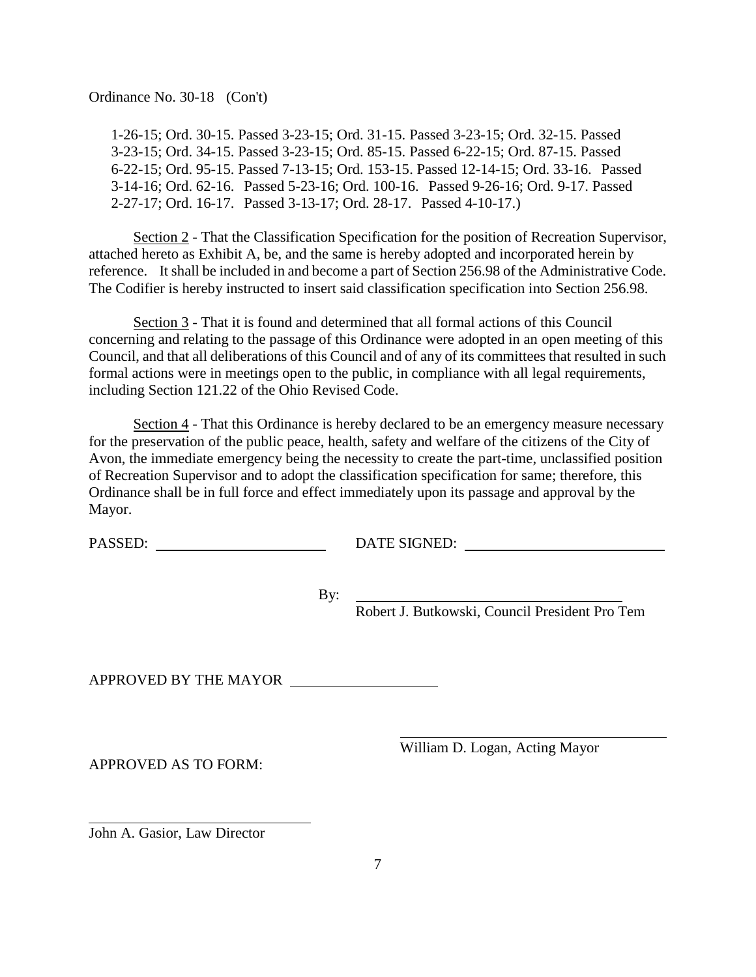1-26-15; Ord. 30-15. Passed 3-23-15; Ord. 31-15. Passed 3-23-15; Ord. 32-15. Passed 3-23-15; Ord. 34-15. Passed 3-23-15; Ord. 85-15. Passed 6-22-15; Ord. 87-15. Passed 6-22-15; Ord. 95-15. Passed 7-13-15; Ord. 153-15. Passed 12-14-15; Ord. 33-16. Passed 3-14-16; Ord. 62-16. Passed 5-23-16; Ord. 100-16. Passed 9-26-16; Ord. 9-17. Passed 2-27-17; Ord. 16-17. Passed 3-13-17; Ord. 28-17. Passed 4-10-17.)

Section 2 - That the Classification Specification for the position of Recreation Supervisor, attached hereto as Exhibit A, be, and the same is hereby adopted and incorporated herein by reference. It shall be included in and become a part of Section 256.98 of the Administrative Code. The Codifier is hereby instructed to insert said classification specification into Section 256.98.

Section 3 - That it is found and determined that all formal actions of this Council concerning and relating to the passage of this Ordinance were adopted in an open meeting of this Council, and that all deliberations of this Council and of any of its committees that resulted in such formal actions were in meetings open to the public, in compliance with all legal requirements, including Section 121.22 of the Ohio Revised Code.

Section  $4$  - That this Ordinance is hereby declared to be an emergency measure necessary for the preservation of the public peace, health, safety and welfare of the citizens of the City of Avon, the immediate emergency being the necessity to create the part-time, unclassified position of Recreation Supervisor and to adopt the classification specification for same; therefore, this Ordinance shall be in full force and effect immediately upon its passage and approval by the Mayor.

PASSED: DATE SIGNED:

By:

Robert J. Butkowski, Council President Pro Tem

APPROVED BY THE MAYOR

APPROVED AS TO FORM:

William D. Logan, Acting Mayor

John A. Gasior, Law Director

l